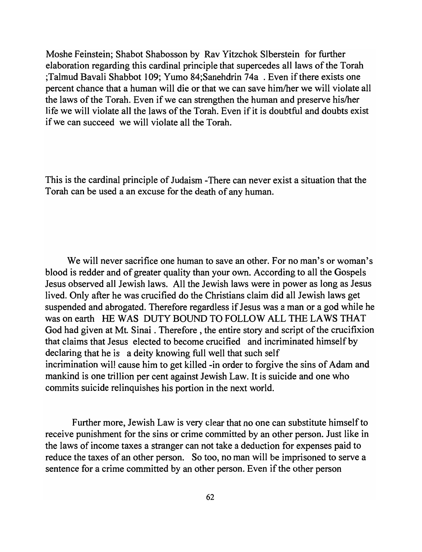Moshe Feinstein; Shabot Shabosson by Rav Yitzchok Slberstein for further elaboration regarding this cardinal principle that supercedes all laws of the Torah ;Talmud Bavali Shabbot 109; Yumo 84;Sanehdrin 74a . Even if there exists one percent chance that a human will die or that we can save him/her we will violate all the laws of the Torah. Even if we can strengthen the human and preserve his/her life we will violate all the laws of the Torah. Even if it is doubtful and doubts exist if we can succeed we will violate all the Torah.

This is the cardinal principle of Judaism -There can never exist a situation that the Torah can be used a an excuse for the death of any human.

We will never sacrifice one human to save an other. For no man's or woman's blood is redder and of greater quality than your own. According to all the Gospels Jesus observed all Jewish laws. All the Jewish laws were in power as long as Jesus lived. Only after he was crucified do the Christians claim did all Jewish laws get suspended and abrogated. Therefore regardless if Jesus was a man or a god while he was on earth HE WAS DUTY BOUND TO FOLLOW ALL THE LAWS THAT God had given at Mt. Sinai. Therefore, the entire story and script of the crucifixion that claims that Jesus elected to become crucified and incriminated himself by declaring that he is a deity knowing full well that such self incrimination will cause him to get killed -in order to forgive the sins of Adam and mankind is one trillion per cent against Jewish Law. It is suicide and one who commits suicide relinquishes his portion in the next world.

Further more, Jewish Law is very clear that no one can substitute himself to receive punishment for the sins or crime committed by an other person. Just like in the laws of income taxes a stranger can not take a deduction for expenses paid to reduce the taxes of an other person. So too, no man will be imprisoned to serve a sentence for a crime committed by an other person. Even if the other person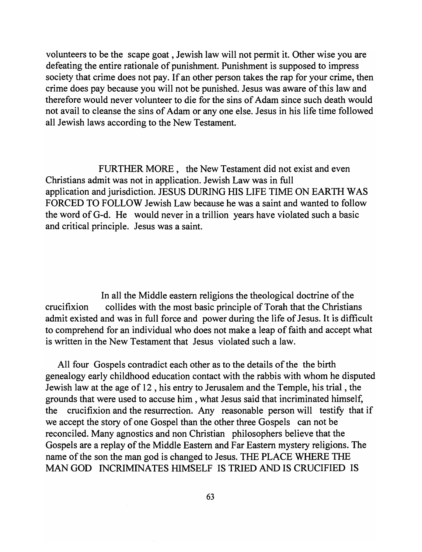volunteers to be the scape goat, Jewish law will not permit it. Other wise you are defeating the entire rationale of punishment. Punishment is supposed to impress society that crime does not pay. If an other person takes the rap for your crime, then crime does pay because you will not be punished. Jesus was aware of this law and therefore would never volunteer to die for the sins of Adam since such death would not avail to cleanse the sins of Adam or anyone else. Jesus in his life time followed all Jewish laws according to the New Testament.

FURTHER MORE, the New Testament did not exist and even Christians admit was not in application. Jewish Law was in full application and jurisdiction. JESUS DURING HIS LIFE TIME ON EARTH WAS FORCED TO FOLLOW Jewish Law because he was a saint and wanted to follow the word ofG-d. He would never in a trillion years have violated such a basic and critical principle. Jesus was a saint.

In all the Middle eastern religions the theological doctrine of the crucifixion collides with the most basic principle of Torah that the Christians admit existed and was in full force and power during the life of Jesus. It is difficult to comprehend for an individual who does not make a leap of faith and accept what is written in the New Testament that Jesus violated such a law.

All four Gospels contradict each other as to the details of the the birth genealogy early childhood education contact with the rabbis with whom he disputed Jewish law at the age of 12, his entry to Jerusalem and the Temple, his trial, the grounds that were used to accuse him, what Jesus said that incriminated himself, the crucifixion and the resurrection. Any reasonable person will testify that if we accept the story of one Gospel than the other three Gospels can not be reconciled. Many agnostics and non Christian philosophers believe that the Gospels are a replay of the Middle Eastern and Far Eastern mystery religions. The name of the son the man god is changed to Jesus. THE PLACE WHERE THE MAN GOD INCRIMINATES HIMSELF IS TRIED AND IS CRUCIFIED IS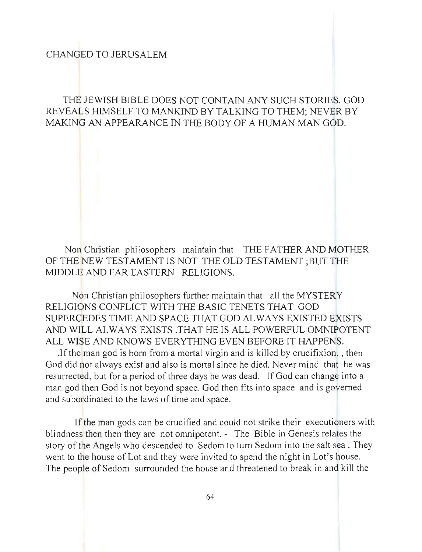## CHANGED TO JERUSALEM

## THE JEWISH BIBLE DOES NOT CONTAIN ANY SUCH STORIES. GOD REVEALS HIMSELF TO MANKIND BY TALKING TO THEM; NEVER BY MAKING AN APPEARANCE IN THE BODY OF A HUMAN MAN GOD.

Non Christian philosophers maintain that THE FATHER AND MOTHER OF THE NEW TESTAMENT IS NOT THE OLD TESTAMENT ;BUT THE MIDDLE AND FAR EASTERN RELIGIONS.

Non Christian philosophers further maintain that all the MYSTERY RELIGIONS CONFLICT WITH THE BASIC TENETS THAT GOD SUPERCEDES TIME AND SPACE THAT GOD AL WAYS EXISTED EXISTS AND WILL ALWAYS EXISTS THAT HE IS ALL POWERFUL OMNIPOTENT ALL WISE AND KNOWS EVERYTHING EVEN BEFORE IT HAPPENS.

.If the man god is born from a mortal virgin and is killed by crucifixion. , then God did not always exist and also is mortal since he died. Never mind that he was resurrected, but for a period of three days he was dead. If God can change into a man god then God is not beyond space. God then fits into space and is governed and subordinated to the laws of time and space.

If the man gods can be crucified and could not strike their executioners with blindness then then they are not omnipotent. - The Bible in Genesis relates the story of the Angels who descended to Sedom to turn Sedom into the salt sea. They went to the house of Lot and they were invited to spend the night in Lot's house. The people of Sedom surrounded the house and threatened to break in and kill the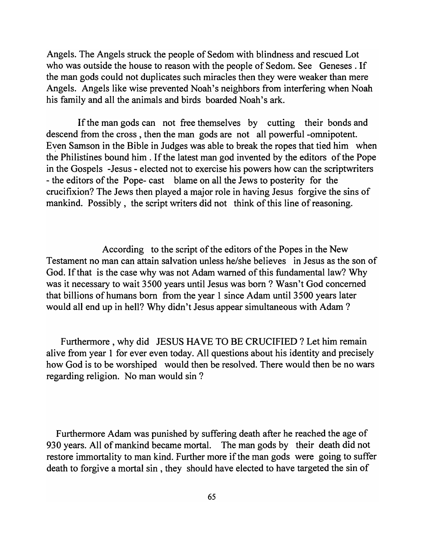Angels. The Angels struck the people of Sedom with blindness and rescued Lot who was outside the house to reason with the people of Sedom. See Geneses. If the man gods could not duplicates such miracles then they were weaker than mere Angels. Angels like wise prevented Noah's neighbors from interfering when Noah his family and all the animals and birds boarded Noah's ark.

If the man gods can not free themselves by cutting their bonds and descend from the cross, then the man gods are not all powerful -omnipotent. Even Samson in the Bible in Judges was able to break the ropes that tied him when the Philistines bound him . If the latest man god invented by the editors of the Pope in the Gospels -Jesus - elected not to exercise his powers how can the scriptwriters - the editors of the Pope- cast blame on all the Jews to posterity for the crucifixion? The Jews then played a major role in having Jesus forgive the sins of mankind. Possibly, the script writers did not think of this line of reasoning.

According to the script of the editors of the Popes in the New Testament no man can attain salvation unless he/she believes in Jesus as the son of God. If that is the case why was not Adam warned of this fundamental law? Why was it necessary to wait 3500 years until Jesus was born? Wasn't God concerned that billions of humans born from the year 1 since Adam until 3500 years later would all end up in hell? Why didn't Jesus appear simultaneous with Adam ?

Furthermore, why did JESUS HAVE TO BE CRUCIFIED? Let him remain alive from year 1 for ever even today. All questions about his identity and precisely how God is to be worshiped would then be resolved. There would then be no wars regarding religion. No man would sin?

Furthermore Adam was punished by suffering death after he reached the age of 930 years. All of mankind became mortal. The man gods by their death did not restore immortality to man kind. Further more if the man gods were going to suffer death to forgive a mortal sin, they should have elected to have targeted the sin of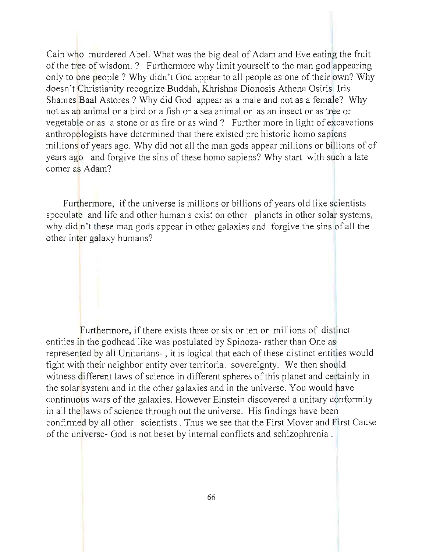Cain who murdered Abel. What was the big deal of Adam and Eve eating the fruit of the tree of wisdom. ? Furthermore why limit yourself to the man god appearing only to one people? Why didn't God appear to all people as one of their own? Why doesn 't Christianity recognize Buddah, Khrishna Dionosis Athena Osiris Iris Shames Baal Astores ? Why did God appear as a male and not as a female? Why not as an animal or a bird or a fish or a sea animal or as an insect or as tree or vegetable or as a stone or as fire or as wind? Further more in light of excavations anthropologists have determined that there existed pre historic homo sapiens millions of years ago. Why did not all the man gods appear millions or billions of of years ago and forgive the sins of these homo sapiens? Why start with such a late comer as Adam?

Furthermore, if the universe is millions or billions of years old like scientists speculate and life and other human s exist on other planets in other solar systems, why did n't these man gods appear in other galaxies and forgive the sins of all the other inter galaxy humans?

Furthermore, if there exists three or six or ten or millions of distinct entities in the godhead like was postulated by Spinoza- rather than One as represented by all Unitarians- , it is logical that each of these distinct entities would fight with their neighbor entity over territorial sovereignty. We then should witness different laws of science in different spheres of this planet and certainly in the solar system and in the other galaxies and in the universe. You would have continuous wars of the galaxies. However Einstein discovered a unitary conformity in all the laws of science through out the universe. His findings have been confirmed by all other scientists. Thus we see that the First Mover and First Cause of the universe- God is not beset by internal conflicts and schizophrenia.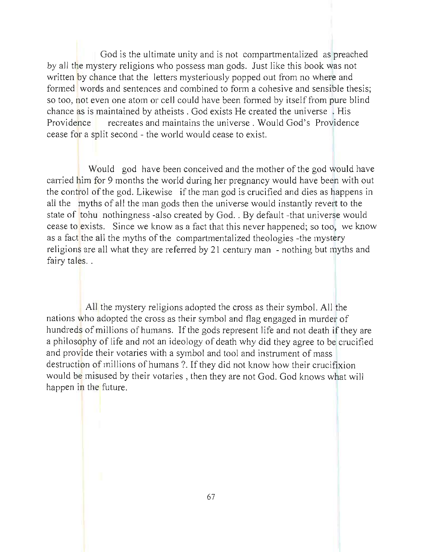God is the ultimate unity and is not compartmentalized as preached by all the mystery religions who possess man gods. Just like this book was not written by chance that the letters mysteriously popped out from no where and formed words and sentences and combined to form a cohesive and sensible thesis; so too, not even one atom or cell could have been formed by itself from pure blind chance as is maintained by atheists. God exists He created the universe . His Providence recreates and maintains the universe. Would God's Providence cease for a split second - the world would cease to exist.

Would god have been conceived and the mother of the god would have carried him for 9 months the world during her pregnancy would have been with out the control of the god. Likewise if the man god is crucified and dies as happens in all the myths of all the man gods then the universe would instantly revert to the state of tohu nothingness -also created by God. . By default -that universe would cease to exists. Since we know as a fact that this never happened; so too, we know as a fact the all the myths of the compartmentalized theologies -the mystery religions are all what they are referred by 21 century man - nothing but myths and fairy tales...

All the mystery religions adopted the cross as their symbol. All the nations who adopted the cross as their symbol and flag engaged in murder of hundreds of millions of humans. If the gods represent life and not death if they are a philosophy of life and not an ideology of death why did they agree to be crucified and provide their votaries with a symbol and tool and instrument of mass destruction of millions of humans ?. If they did not know how their crucifixion would be misused by their votaries, then they are not God. God knows what will happen in the future.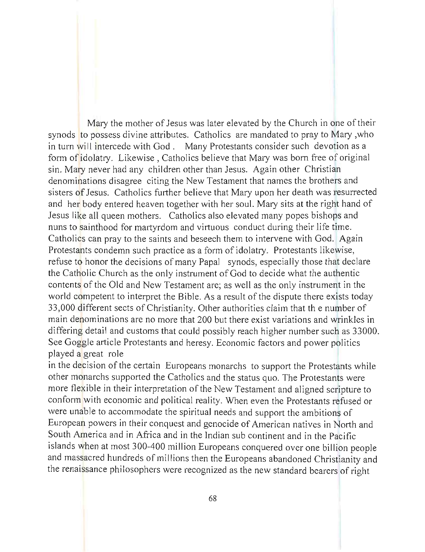Mary the mother of Jesus was later elevated by the Church in one of their synods to possess divine attributes. Catholics are mandated to pray to Mary ,who in turn will intercede with God. Many Protestants consider such devotion as a form of idolatry. Likewise , Catholics believe that Mary was born free of original sin. Mary never had any children other than Jesus. Again other Christian denominations disagree citing the New Testament that names the brothers and sisters of Jesus. Catholics further believe that Mary upon her death was resurrected and her body entered heaven together with her soul. Mary sits at the right hand of Jesus like all queen mothers. Catholics also elevated many popes bishops and nuns to sainthood for martyrdom and virtuous conduct during their life time. Catholics can pray to the saints and beseech them to intervene with God. Again Protestants condemn such practice as a form of idolatry. Protestants likewise, refuse to honor the decisions of many Papal synods, especially those that declare the Catholic Church as the only instrument of God to decide what the authentic contents of the Old and New Testament are; as well as the only instrument in the world competent to interpret the Bible. As a result of the dispute there exists today 33,000 different sects of Christianity. Other authorities claim that th e number of main denominations are no more that 200 but there exist variations and wrinkles in differing detail and customs that could possibly reach higher number such as 33000. See Goggle article Protestants and heresy. Economic factors and power politics played a great role

in the decision of the certain Europeans monarchs to support the Protestants while other monarchs supported the Catholics and the status quo. The Protestants were more flexible in their interpretation of the New Testament and aligned scripture to conform with economic and political reality. When even the Protestants refused or were unable to accommodate the spiritual needs and support the ambitions of European powers in their conquest and genocide of American natives in North and South America and in Africa and in the Indian sub continent and in the Pacific islands when at most 300-400 million Europeans conquered over one billion people and massacred hundreds of millions then the Europeans abandoned Christianity and the renaissance philosophers were recognized as the new standard bearers of right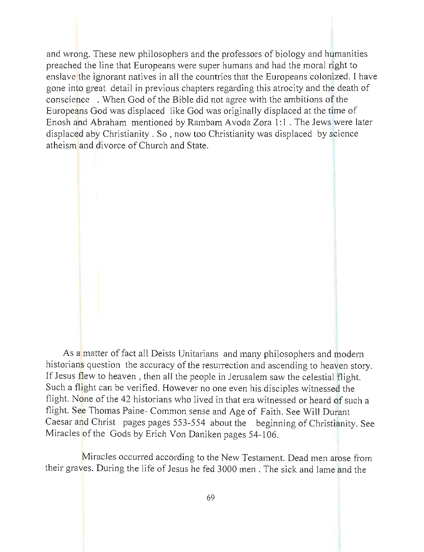and wrong. These new philosophers and the professors of biology and humanities preached the line that Europeans were super humans and had the moral right to enslave the ignorant natives in all the countries that the Europeans colonized. I have gone into great detail in previous chapters regarding this atrocity and the death of conscience . When God of the Bible did not agree with the ambitions of the Europeans God was displaced like God was originally displaced at the time of Enosh and Abraham mentioned by Rambam Avoda Zora 1:1. The Jews were later displaced aby Christianity. So , now too Christianity was displaced by science atheism and divorce of Church and State.

As a matter of fact all Deists Unitarians and many philosophers and modern historians question the accuracy of the resurrection and ascending to heaven story. If Jesus flew to heaven, then all the people in Jerusalem saw the celestial flight. Such a flight can be verified. However no one even his disciples witnessed the flight. None of the 42 historians who lived in that era witnessed or heard of such a flight. See Thomas Paine- Common sense and Age of Faith. See Will Durant Caesar and Christ pages pages 553-554 about the beginning of Christianity. See Miracles of the Gods by Erich Von Daniken pages 54-106.

Miracles occurred according to the New Testament. Dead men arose from their graves. During the life of Jesus he fed 3000 men. The sick and lame and the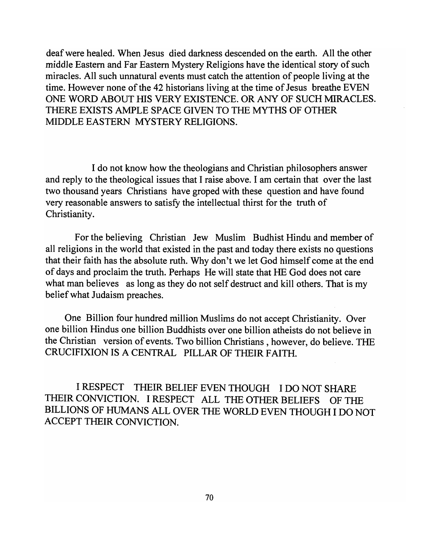deaf were healed. When Jesus died darkness descended on the earth. All the other middle Eastern and Far Eastern Mystery Religions have the identical story of such miracles. All such unnatural events must catch the attention of people living at the time. However none of the 42 historians living at the time of Jesus breathe EVEN ONE WORD ABOUT HIS VERY EXISTENCE. OR ANY OF SUCH MIRACLES. THERE EXISTS AMPLE SPACE GIVEN TO THE MYTHS OF OTHER MIDDLE EASTERN MYSTERY RELIGIONS.

I do not know how the theologians and Christian philosophers answer and reply to the theological issues that I raise above. I am certain that over the last two thousand years Christians have groped with these question and have found very reasonable answers to satisfy the intellectual thirst for the truth of Christianity.

For the believing Christian Jew Muslim Budhist Hindu and member of all religions in the world that existed in the past and today there exists no questions that their faith has the absolute ruth. Why don't we let God himself come at the end of days and proclaim the truth. Perhaps He will state that HE God does not care what man believes as long as they do not self destruct and kill others. That is my belief what Judaism preaches.

One Billion four hundred million Muslims do not accept Christianity. Over one billion Hindus one billion Buddhists over one billion atheists do not believe in the Christian version of events. Two billion Christians, however, do believe. THE CRUCIFIXION IS A CENTRAL PILLAR OF THEIR FAITH.

I RESPECT THEIR BELIEF EVEN THOUGH I DO NOT SHARE THEIR CONVICTION. I RESPECT ALL THE OTHER BELIEFS OF THE BILLIONS OF HUMANS ALL OVER THE WORLD EVEN THOUGH I DO NOT ACCEPT THEIR CONVICTION.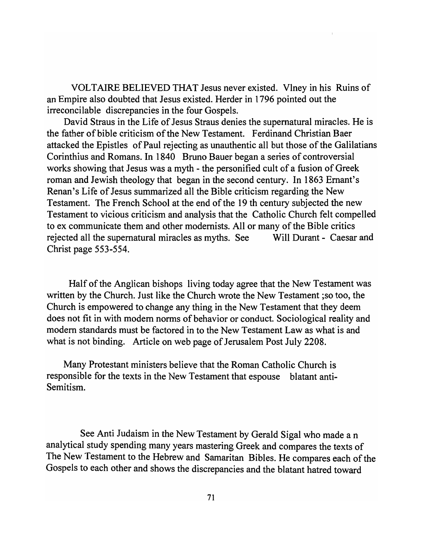VOLTAIRE BELIEVED THAT Jesus never existed. VIney in his Ruins of an Empire also doubted that Jesus existed. Herder in 1 796 pointed out the irreconcilable discrepancies in the four Gospels.

David Straus in the Life of Jesus Straus denies the supernatural miracles. He is the father of bible criticism of the New Testament. Ferdinand Christian Baer attacked the Epistles of Paul rejecting as unauthentic all but those of the Galilatians Corinthius and Romans. In 1840 Bruno Bauer began a series of controversial works showing that Jesus was a myth - the personified cult of a fusion of Greek roman and Jewish theology that began in the second century. In 1863 Ernant's Renan's Life of Jesus summarized all the Bible criticism regarding the New Testament. The French School at the end of the 19 th century subjected the new Testament to vicious criticism and analysis that the Catholic Church felt compelled to ex communicate them and other modernists. All or many of the Bible critics rejected all the supernatural miracles as myths. See Will Durant - Caesar and Christ page 553-554.

Half of the Anglican bishops living today agree that the New Testament was written by the Church. Just like the Church wrote the New Testament ;so too, the Church is empowered to change any thing in the New Testament that they deem does not fit in with modern norms of behavior or conduct. Sociological reality and modern standards must be factored in to the New Testament Law as what is and what is not binding. Article on web page of Jerusalem Post July 2208.

Many Protestant ministers believe that the Roman Catholic Church is responsible for the texts in the New Testament that espouse blatant anti-Semitism.

See Anti Judaism in the New Testament by Gerald Sigal who made an analytical study spending many years mastering Greek and compares the texts of The New Testament to the Hebrew and Samaritan Bibles. He compares each of the Gospels to each other and shows the discrepancies and the blatant hatred toward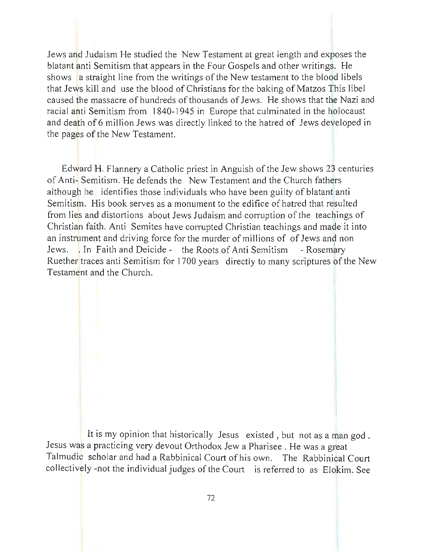Jews and Judaism He studied the New Testament at great length and exposes the blatant anti Semitism that appears in the Four Gospels and other writings. He shows a straight line from the writings of the New testament to the blood libels that Jews kill and use the blood of Christians for the baking of Matzos This libel caused the massacre of hundreds of thousands of Jews. He shows that the Nazi and racial anti Semitism from 1840-1945 in Europe that culminated in the holocaust and death of 6 million Jews was directly linked to the hatred of Jews developed in the pages of the New Testament.

Edward H. Flannery a Catholic priest in Anguish of the Jew shows 23 centuries of Anti- Semitism. He defends the New Testament and the Church fathers although he identifies those individuals who have been guilty of blatant anti Semitism. His book serves as a monument to the edifice of hatred that resulted from lies and distortions about Jews Judaism and corruption of the teachings of Christian faith. Anti Semites have corrupted Christian teachings and made it into an instrument and driving force for the murder of millions of of Jews and non Jews. In Faith and Deicide - the Roots of Anti Semitism - Rosemary Ruether traces anti Semitism for 1700 years directly to many scriptures of the New Testament and the Church.

It is my opinion that historically Jesus existed , but not as a man god. Jesus was a practicing very devout Orthodox Jew a Pharisee. He was a great Talmudic scholar and had a Rabbinical Court of his own. The Rabbinical Court collectively -not the individual judges of the Court is referred to as Elokim. See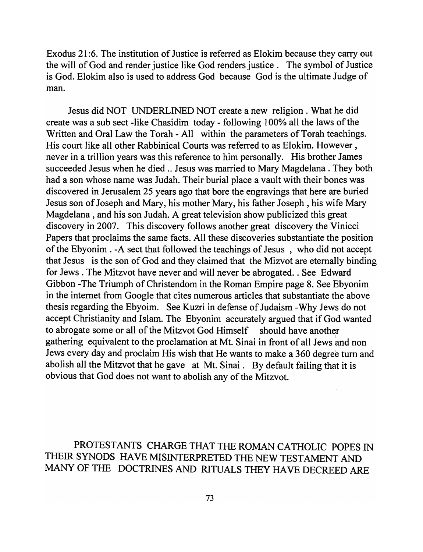Exodus 21 :6. The institution of Justice is referred as Elokim because they carry out the will of God and render justice like God renders justice. The symbol of Justice is God. Elokim also is used to address God because God is the ultimate Judge of man.

Jesus did NOT UNDERLINED NOT create a new religion. What he did create was a sub sect -like Chasidim today - following 100% all the laws of the Written and Oral Law the Torah - All within the parameters of Torah teachings. His court like all other Rabbinical Courts was referred to as Elokim. However, never in a trillion years was this reference to him personally. His brother James succeeded Jesus when he died .. Jesus was married to Mary Magdelana . They both had a son whose name was Judah. Their burial place a vault with their bones was discovered in Jerusalem 25 years ago that bore the engravings that here are buried Jesus son of Joseph and Mary, his mother Mary, his father Joseph, his wife Mary Magdelana , and his son Judah. A great television show publicized this great discovery in 2007. This discovery follows another great discovery the Vinicci Papers that proclaims the same facts. All these discoveries substantiate the position of the Ebyonim . -A sect that followed the teachings of Jesus, who did not accept that Jesus is the son of God and they claimed that the Mizvot are eternally binding for Jews . The Mitzvot have never and will never be abrogated .. See Edward Gibbon -The Triumph of Christendom in the Roman Empire page 8. See Ebyonim in the internet from Google that cites numerous articles that substantiate the above thesis regarding the Ebyoim. See Kuzri in defense of Judaism -Why Jews do not accept Christianity and Islam. The Ebyonim accurately argued that if God wanted to abrogate some or all of the Mitzvot God Himself should have another gathering equivalent to the proclamation at Mt. Sinai in front of all Jews and non Jews every day and proclaim His wish that He wants to make a 360 degree tum and abolish all the Mitzvot that he gave at Mt. Sinai. By default failing that it is obvious that God does not want to abolish any of the Mitzvot.

PROTESTANTS CHARGE THAT THE ROMAN CATHOLIC POPES IN THEIR SYNODS HAVE MISINTERPRETED THE NEW TESTAMENT AND MANY OF THE DOCTRINES AND RITUALS THEY HAVE DECREED ARE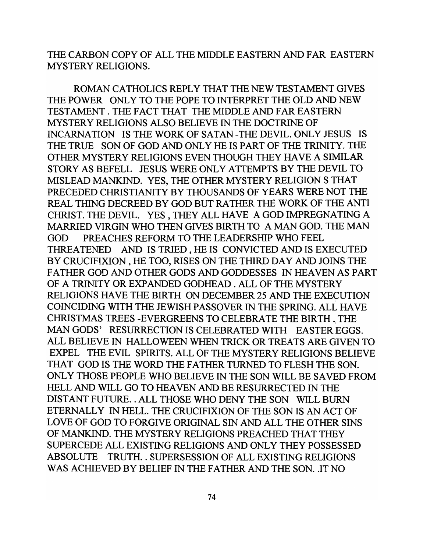THE CARBON COpy OF ALL THE MIDDLE EASTERN AND FAR EASTERN MYSTERY RELIGIONS.

ROMAN CATHOLICS REPLY THAT THE NEW TESTAMENT GIVES THE POWER ONLY TO THE POPE TO INTERPRET THE OLD AND NEW TESTAMENT. THE FACT THAT THE MIDDLE AND FAR EASTERN MYSTERY RELIGIONS ALSO BELIEVE IN THE DOCTRINE OF INCARNATION IS THE WORK OF SATAN -THE DEVIL. ONLY JESUS IS THE TRUE SON OF GOD AND ONLY HE IS PART OF THE TRINITY. THE OTHER MYSTERY RELIGIONS EVEN THOUGH THEY HAVE A SIMILAR STORY AS BEFELL JESUS WERE ONLY ATTEMPTS BY THE DEVIL TO MISLEAD MANKlND. YES, THE OTHER MYSTERY RELIGION S THAT PRECEDED CHRISTIANITY BY THOUSANDS OF YEARS WERE NOT THE REAL THING DECREED BY GOD BUT RATHER THE WORK OF THE ANTI CHRIST. THE DEVIL. YES, THEY ALL HAVE A GOD IMPREGNATING A MARRIED VIRGIN WHO THEN GIVES BIRTH TO A MAN GOD. THE MAN GOD PREACHES REFORM TO THE LEADERSHIP WHO FEEL THREATENED AND IS TRIED, HE IS CONVICTED AND IS EXECUTED BY CRUCIFIXION, HE TOO, RISES ON THE THIRD DAY AND JOINS THE FATHER GOD AND OTHER GODS AND GODDESSES IN HEAVEN AS PART OF A TRINITY OR EXPANDED GODHEAD. ALL OF THE MYSTERY RELIGIONS HAVE THE BIRTH ON DECEMBER 25 AND THE EXECUTION COINCIDING WITH THE JEWISH PASSOVER IN THE SPRING. ALL HA YE CHRISTMAS TREES -EVERGREENS TO CELEBRATE THE BIRTH. THE MAN GODS' RESURRECTION IS CELEBRATED WITH EASTER EGGS. ALL BELIEVE IN HALLOWEEN WHEN TRICK OR TREATS ARE GIVEN TO EXPEL THE EVIL SPIRITS. ALL OF THE MYSTERY RELIGIONS BELIEVE THAT GOD IS THE WORD THE FATHER TURNED TO FLESH THE SON. ONL Y THOSE PEOPLE WHO BELIEVE IN THE SON WILL BE SA YED FROM HELL AND WILL GO TO HEA VEN AND BE RESURRECTED IN THE DISTANT FUTURE .. ALL THOSE WHO DENY THE SON WILL BURN ETERNALLY IN HELL. THE CRUCIFIXION OF THE SON IS AN ACT OF LOVE OF GOD TO FORGIVE ORIGINAL SIN AND ALL THE OTHER SINS OF MANKIND. THE MYSTERY RELIGIONS PREACHED THAT THEY SUPERCEDE ALL EXISTING RELIGIONS AND ONLY THEY POSSESSED ABSOLUTE TRUTH .. SUPERSESSION OF ALL EXISTING RELIGIONS WAS ACHIEVED BY BELIEF IN THE FATHER AND THE SON. .IT NO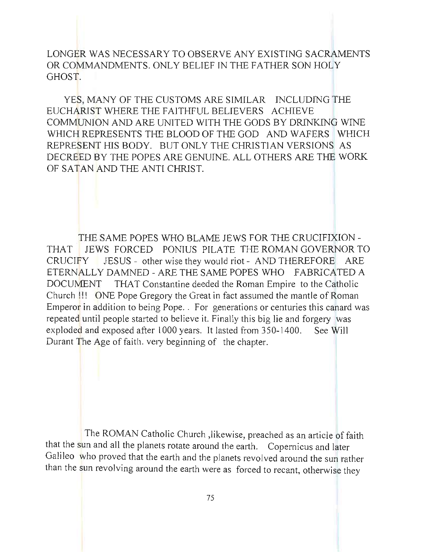LONGER WAS NECESSARY TO OBSERVE ANY EXISTING SACRAMENTS OR COMMANDMENTS. ONLY BELIEF IN THE FATHER SON HOLY GHOST.

YES, MANY OF THE CUSTOMS ARE SIMILAR INCLUDING THE EUCHARlST WHERE THE FAITHFUL BELIEVERS ACHIEVE COMMUNION AND ARE UNITED WITH THE GODS BY DRINKING WINE WHICH REPRESENTS THE BLOOD OF THE GOD AND WAFERS WHICH REPRESENT HIS BODY. BUT ONLY THE CHRlSTIAN VERSIONS AS DECREED BY THE POPES ARE GENUINE. ALL OTHERS ARE THE WORK OF SATAN AND THE ANTI CHRIST.

THE SAME POPES WHO BLAME JEWS FOR THE CRUCIFIXION -THAT JEWS FORCED PONIUS PILATE THE ROMAN GOVERNOR TO CRUCIFY JESUS - other wise they would riot - AND THEREFORE ARE ETERNALLY DAMNED - ARE THE SAME POPES WHO FABRICATED A DOCUMENT THAT Constantine deeded the Roman Empire to the Catholic Church !!! ONE Pope Gregory the Great in fact assumed the mantle of Roman Emperor in addition to being Pope. . For generations or centuries this canard was repeated until people started to believe it. Finally this big lie and forgery was exploded and exposed after 1000 years. It lasted from 350-1400. See Will Durant The Age of faith. very beginning of the chapter.

The ROMAN Catholic Church ,likewise, preached as an article of faith that the sun and all the planets rotate around the earth. Copernicus and later Galileo who proved that the earth and the planets revolved around the sun rather than the sun revolving around the earth were as forced to recant, otherwise they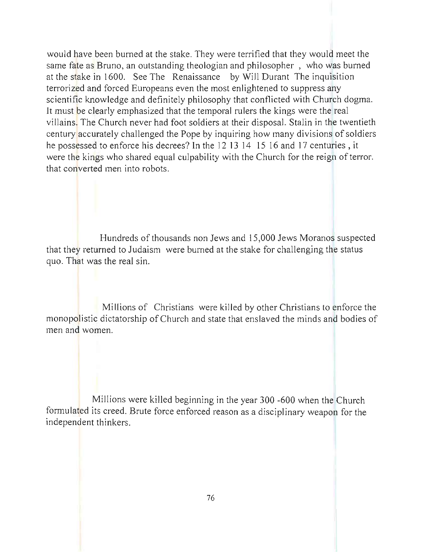would have been burned at the stake. They were terrified that they would meet the same fate as Bruno, an outstanding theologian and philosopher , who was burned at the stake in 1600. See The Renaissance by Will Durant The inquisition terrorized and forced Europeans even the most enlightened to suppress any scientific knowledge and definitely philosophy that conflicted with Church dogma. It must be clearly emphasized that the temporal rulers the kings were the real villains. The Church never had foot soldiers at their disposal. Stalin in the twentieth century accurately challenged the Pope by inquiring how many divisions of soldiers he possessed to enforce his decrees? In the 12 13 14 15 16 and 17 centuries, it were the kings who shared equal culpability with the Church for the reign of terror. that converted men into robots.

Hundreds of thousands non Jews and 15 ,000 Jews Moranos suspected that they returned to Judaism were burned at the stake for challenging the status quo. That was the real sin.

Millions of Christians were killed by other Christians to enforce the monopolistic dictatorship of Church and state that enslaved the minds and bodies of men and women.

Millions were killed beginning in the year 300 -600 when the Church formulated its creed. Brute force enforced reason as a disciplinary weapon for the independent thinkers.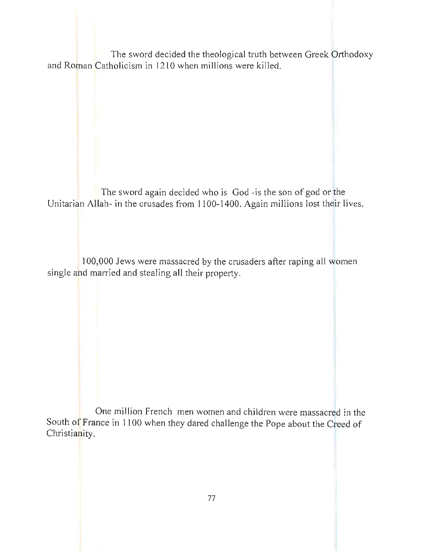The sword decided the theological truth between Greek Orthodoxy and Roman Catholicism in 1210 when millions were killed.

The sword again decided who is God -is the son of god or the Unitarian Allah- in the crusades from **1100-1400.** Again millions lost their lives.

100,000 Jews were massacred by the crusaders after raping all women single and married and stealing all their property.

One million French men women and children were massacred in the South of France in I 100 when they dared challenge the Pope about the Creed of Christianity.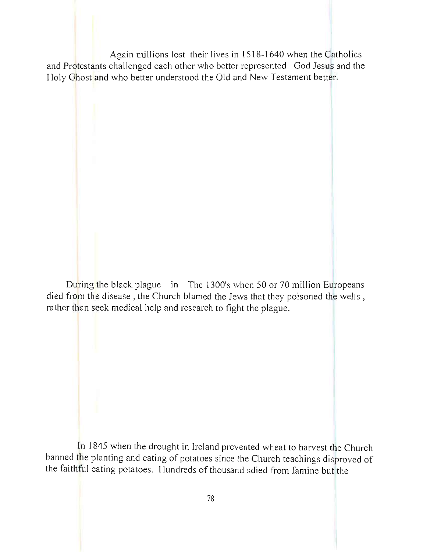Again millions lost their lives in 1518-1640 when the Catholics and Protestants challenged each other who better represented God Jesus and the Holy Ghost and who better understood the Old and New Testament better.

During the black plague in The 1300's when 50 or 70 million Europeans died from the disease, the Church blamed the Jews that they poisoned the wells , rather than seek medical help and research to fight the plague.

In 1845 when the drought in Ireland prevented wheat to harvest the Church banned the planting and eating of potatoes since the Church teachings disproved of the faithful eating potatoes. Hundreds of thousand sdied from famine but the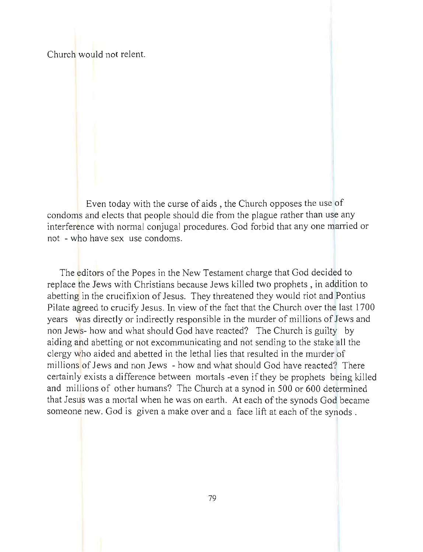Church would not relent.

Even today with the curse of aids, the Church opposes the use of condoms and elects that people should die from the plague rather than use any interference with normal conjugal procedures. God forbid that any one married or not - who have sex use condoms.

The editors of the Popes in the New Testament charge that God decided to replace the Jews with Christians because Jews killed two prophets, in addition to abetting in the crucifixion of Jesus. They threatened they would riot and Pontius Pilate agreed to crucify Jesus. In view of the fact that the Church over the last 1700 years was directly or indirectly responsible in the murder of millions of Jews and non Jews- how and what should God have reacted? The Church is guilty by aiding and abetting or not excommunicating and not sending to the stake all the clergy who aided and abetted in the lethal lies that resulted in the murder of millions of Jews and non Jews - how and what should God have reacted? There certainly exists a difference between mortals -even if they be prophets being killed and millions of other humans? The Church at a synod in 500 or 600 determined that Jesus was a mortal when he was on earth. At each of the synods God became someone new. God is given a make over and a face lift at each of the synods.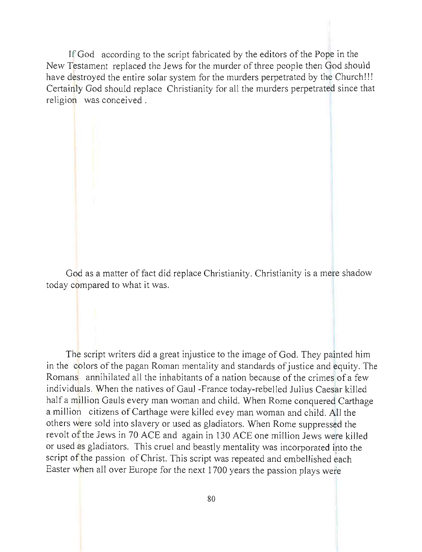If God according to the script fabricated by the editors of the Pope in the New Testament replaced the Jews for the murder of three people then God should have destroyed the entire solar system for the murders perpetrated by the Church!!! Certainly God should replace Christianity for all the murders perpetrated since that religion was conceived.

God as a matter of fact did replace Christianity. Christianity is a mere shadow today compared to what it was.

The script writers did a great injustice to the image of God. They painted him in the colors of the pagan Roman mentality and standards of justice and equity. The Romans annihilated all the inhabitants of a nation because of the crimes of a few individuals. When the natives of Gaul-France today-rebelled Julius Caesar killed half a million Gauls every man woman and child. When Rome conquered Carthage a million citizens of Carthage were killed evey man woman and child. All the others were sold into slavery or used as gladiators. When Rome suppressed the revolt of the Jews in 70 ACE and again in 130 ACE one million Jews were killed or used as gladiators. This cruel and beastly mentality was incorporated into the script of the passion of Christ. This script was repeated and embellished each Easter when all over Europe for the next 1700 years the passion plays were